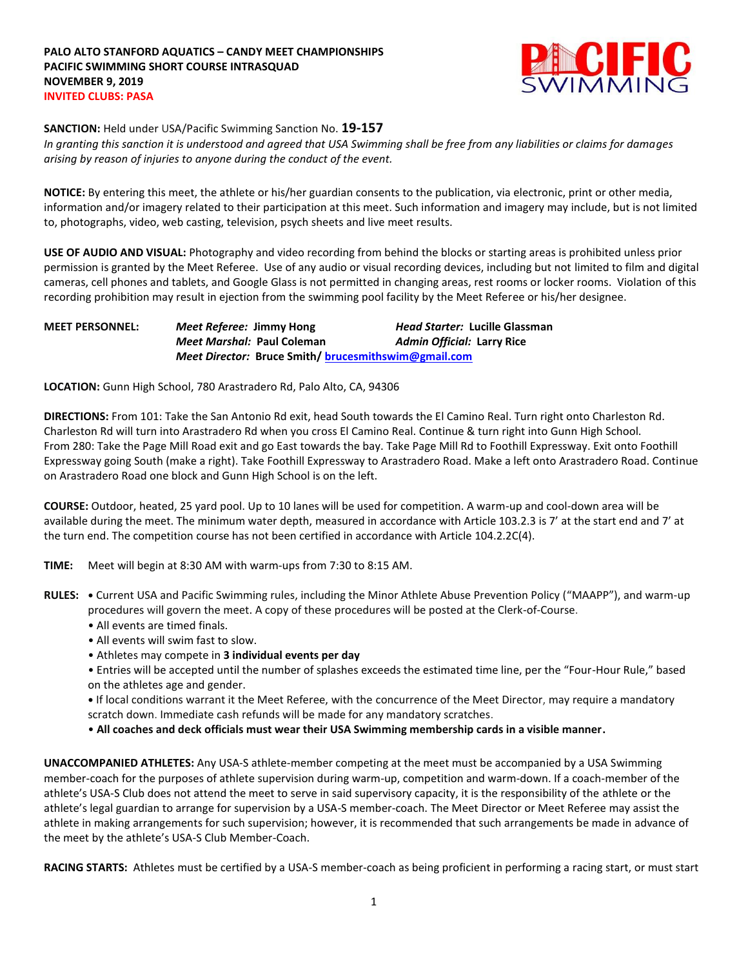

**SANCTION:** Held under USA/Pacific Swimming Sanction No. **19-157**

*In granting this sanction it is understood and agreed that USA Swimming shall be free from any liabilities or claims for damages arising by reason of injuries to anyone during the conduct of the event.*

**NOTICE:** By entering this meet, the athlete or his/her guardian consents to the publication, via electronic, print or other media, information and/or imagery related to their participation at this meet. Such information and imagery may include, but is not limited to, photographs, video, web casting, television, psych sheets and live meet results.

**USE OF AUDIO AND VISUAL:** Photography and video recording from behind the blocks or starting areas is prohibited unless prior permission is granted by the Meet Referee. Use of any audio or visual recording devices, including but not limited to film and digital cameras, cell phones and tablets, and Google Glass is not permitted in changing areas, rest rooms or locker rooms. Violation of this recording prohibition may result in ejection from the swimming pool facility by the Meet Referee or his/her designee.

**MEET PERSONNEL:** *Meet Referee:* **Jimmy Hong** *Head Starter:* **Lucille Glassman** *Meet Marshal:* **Paul Coleman** *Admin Official:* **Larry Rice** *Meet Director:* **Bruce Smith/ [brucesmithswim@gmail.com](mailto:brucesmithswim@gmail.com)**

**LOCATION:** Gunn High School, 780 Arastradero Rd, Palo Alto, CA, 94306

**DIRECTIONS:** From 101: Take the San Antonio Rd exit, head South towards the El Camino Real. Turn right onto Charleston Rd. Charleston Rd will turn into Arastradero Rd when you cross El Camino Real. Continue & turn right into Gunn High School. From 280: Take the Page Mill Road exit and go East towards the bay. Take Page Mill Rd to Foothill Expressway. Exit onto Foothill Expressway going South (make a right). Take Foothill Expressway to Arastradero Road. Make a left onto Arastradero Road. Continue on Arastradero Road one block and Gunn High School is on the left.

**COURSE:** Outdoor, heated, 25 yard pool. Up to 10 lanes will be used for competition. A warm-up and cool-down area will be available during the meet. The minimum water depth, measured in accordance with Article 103.2.3 is 7' at the start end and 7' at the turn end. The competition course has not been certified in accordance with Article 104.2.2C(4).

- **TIME:** Meet will begin at 8:30 AM with warm-ups from 7:30 to 8:15 AM.
- **RULES: •** Current USA and Pacific Swimming rules, including the Minor Athlete Abuse Prevention Policy ("MAAPP"), and warm-up procedures will govern the meet. A copy of these procedures will be posted at the Clerk-of-Course.
	- All events are timed finals.
	- All events will swim fast to slow.
	- Athletes may compete in **3 individual events per day**
	- Entries will be accepted until the number of splashes exceeds the estimated time line, per the "Four-Hour Rule," based on the athletes age and gender.

**•** If local conditions warrant it the Meet Referee, with the concurrence of the Meet Director, may require a mandatory scratch down. Immediate cash refunds will be made for any mandatory scratches.

• **All coaches and deck officials must wear their USA Swimming membership cards in a visible manner.** 

**UNACCOMPANIED ATHLETES:** Any USA-S athlete-member competing at the meet must be accompanied by a USA Swimming member-coach for the purposes of athlete supervision during warm-up, competition and warm-down. If a coach-member of the athlete's USA-S Club does not attend the meet to serve in said supervisory capacity, it is the responsibility of the athlete or the athlete's legal guardian to arrange for supervision by a USA-S member-coach. The Meet Director or Meet Referee may assist the athlete in making arrangements for such supervision; however, it is recommended that such arrangements be made in advance of the meet by the athlete's USA-S Club Member-Coach.

**RACING STARTS:** Athletes must be certified by a USA-S member-coach as being proficient in performing a racing start, or must start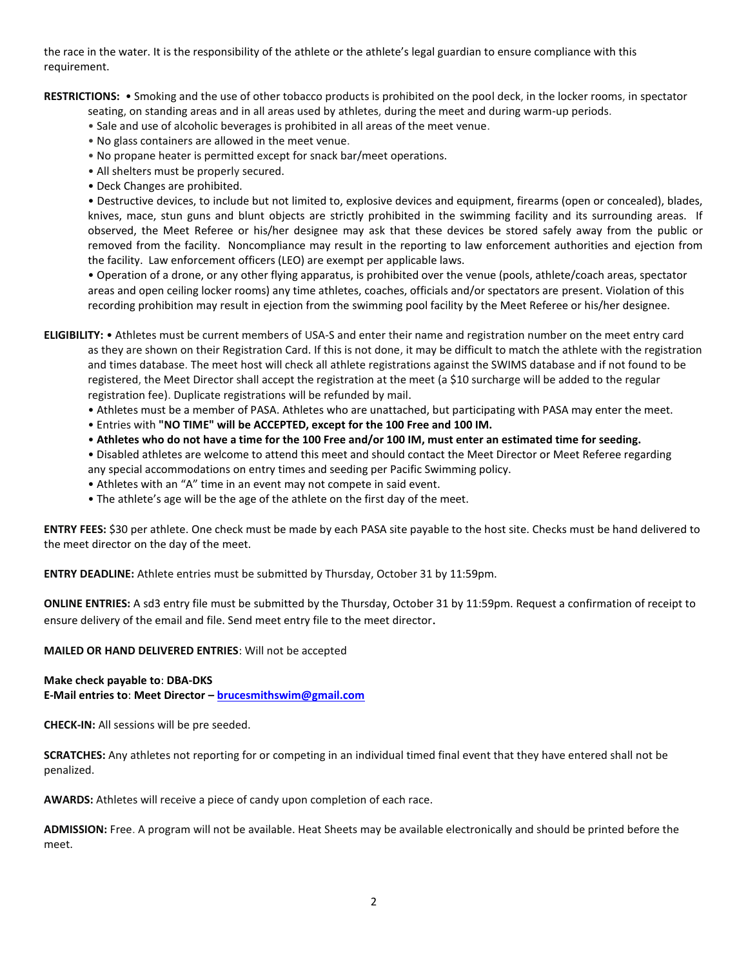the race in the water. It is the responsibility of the athlete or the athlete's legal guardian to ensure compliance with this requirement.

**RESTRICTIONS:** • Smoking and the use of other tobacco products is prohibited on the pool deck, in the locker rooms, in spectator

seating, on standing areas and in all areas used by athletes, during the meet and during warm-up periods.

- Sale and use of alcoholic beverages is prohibited in all areas of the meet venue.
- No glass containers are allowed in the meet venue.
- No propane heater is permitted except for snack bar/meet operations.
- All shelters must be properly secured.
- Deck Changes are prohibited.

• Destructive devices, to include but not limited to, explosive devices and equipment, firearms (open or concealed), blades, knives, mace, stun guns and blunt objects are strictly prohibited in the swimming facility and its surrounding areas. If observed, the Meet Referee or his/her designee may ask that these devices be stored safely away from the public or removed from the facility. Noncompliance may result in the reporting to law enforcement authorities and ejection from the facility. Law enforcement officers (LEO) are exempt per applicable laws.

• Operation of a drone, or any other flying apparatus, is prohibited over the venue (pools, athlete/coach areas, spectator areas and open ceiling locker rooms) any time athletes, coaches, officials and/or spectators are present. Violation of this recording prohibition may result in ejection from the swimming pool facility by the Meet Referee or his/her designee.

**ELIGIBILITY:** • Athletes must be current members of USA-S and enter their name and registration number on the meet entry card as they are shown on their Registration Card. If this is not done, it may be difficult to match the athlete with the registration and times database. The meet host will check all athlete registrations against the SWIMS database and if not found to be registered, the Meet Director shall accept the registration at the meet (a \$10 surcharge will be added to the regular registration fee). Duplicate registrations will be refunded by mail.

- Athletes must be a member of PASA. Athletes who are unattached, but participating with PASA may enter the meet.
- Entries with **"NO TIME" will be ACCEPTED, except for the 100 Free and 100 IM.**
- **Athletes who do not have a time for the 100 Free and/or 100 IM, must enter an estimated time for seeding.**
- Disabled athletes are welcome to attend this meet and should contact the Meet Director or Meet Referee regarding any special accommodations on entry times and seeding per Pacific Swimming policy.
- Athletes with an "A" time in an event may not compete in said event.
- The athlete's age will be the age of the athlete on the first day of the meet.

**ENTRY FEES:** \$30 per athlete. One check must be made by each PASA site payable to the host site. Checks must be hand delivered to the meet director on the day of the meet.

**ENTRY DEADLINE:** Athlete entries must be submitted by Thursday, October 31 by 11:59pm.

**ONLINE ENTRIES:** A sd3 entry file must be submitted by the Thursday, October 31 by 11:59pm. Request a confirmation of receipt to ensure delivery of the email and file. Send meet entry file to the meet director.

**MAILED OR HAND DELIVERED ENTRIES**: Will not be accepted

## **Make check payable to**: **DBA-DKS**

**E-Mail entries to**: **Meet Director – [brucesmithswim@gmail.com](mailto:brucesmithswim@gmail.com)**

**CHECK-IN:** All sessions will be pre seeded.

**SCRATCHES:** Any athletes not reporting for or competing in an individual timed final event that they have entered shall not be penalized.

**AWARDS:** Athletes will receive a piece of candy upon completion of each race.

**ADMISSION:** Free. A program will not be available. Heat Sheets may be available electronically and should be printed before the meet.